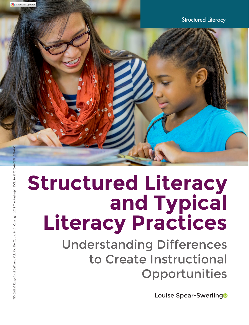

# **Structured Literacy and Typical Literacy Practices**

Understanding Differences to Create Instructional **Opportunities** 

Louise Spear-Swerling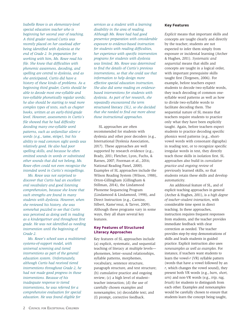*Isabelle Rowe is an elementary-level special education teacher who is beginning her second year of teaching. A third grader named Curtis was recently placed on her caseload after being identified with dyslexia at the end of Grade 2. In preparation for working with him, Ms. Rowe read his file. She knew that difficulties with phonemic awareness, decoding, and spelling are central to dyslexia, and as she anticipated, Curtis did have a history of these kinds of problems. As a beginning third grader, Curtis should be able to decode most one-syllable and two-syllable phonetically regular words; he also should be starting to read more complex types of texts, such as chapter books, written at an early-third-grade level. However, assessments in Curtis's file showed that he had difficulty decoding many one-syllable word patterns, such as unfamiliar silent e words (e.g.*, tame, stripe*), but his ability to read common sight words was relatively good. He also had poor spelling skills, and because he often omitted sounds in words or substituted other sounds that did not belong, Ms. Rowe often could not even recognize the intended word in Curtis's misspellings.*

*Ms. Rowe was not surprised to discover that Curtis had an excellent oral vocabulary and good listening comprehension, because she knew that such strengths are found in many students with dyslexia. However, when she reviewed his history, she was somewhat puzzled to see that Curtis was perceived as doing well in reading as a kindergartner and throughout first grade. He was not identified as needing intervention until the beginning of Grade 2.*

*Ms. Rowe's school uses a multitieredsystems-of-support model, with universal screening and tiered interventions as part of the general education system. Unfortunately, although Curtis had received tiered interventions throughout Grade 2, he had not made good progress in those interventions. Because of his inadequate response to tiered interventions, he was referred for a comprehensive evaluation for special education. He was found eligible for* 

*services as a student with a learning disability in the area of reading. Although Ms. Rowe had had good preservice preparation with considerable exposure to evidence-based instruction for students with reading difficulties, her experience with specific intervention programs for students with dyslexia was limited. Ms. Rowe was determined to find the details of Curtis's previous interventions, so that she could use that information to help design more effective special education instruction. She also did some reading on evidencebased interventions for students with dyslexia. As part of her research, she repeatedly encountered the term* structured literacy *(SL), so she decided that she needed to find out more about those instructional approaches.*

SL approaches are often recommended for students with dyslexia and other poor decoders (e.g., International Dyslexia Association, 2017). These approaches are well supported by research evidence (e.g., Brady, 2011; Fletcher, Lyon, Fuchs, & Barnes, 2007; Foorman et al., 2016; National Reading Panel, 2000). Examples of SL approaches include the Wilson Reading System (Wilson, 1988), Orton-Gillingham (Gillingham & Stillman, 2014), the Lindamood Phoneme Sequencing Program (Lindamood & Lindamood, 1998), and Direct Instruction (e.g., Carnine, Silbert, Kame'enui, & Tarver, 2009). Although these programs vary in some ways, they all share several key features.

# **Key Features of Structured Literacy Approaches**

Key features of SL approaches include (a) explicit, systematic, and sequential teaching of literacy at multiple levels phonemes, letter–sound relationships, syllable patterns, morphemes, vocabulary, sentence structure, paragraph structure, and text structure; (b) cumulative practice and ongoing review; (c) a high level of student– teacher interaction; (d) the use of carefully chosen examples and nonexamples; (e) decodable text; and (f) prompt, corrective feedback.

#### **Key Features**

*Explicit* means that important skills and concepts are taught clearly and directly by the teacher; students are not expected to infer them simply from exposure or incidental learning (Archer & Hughes, 2011). *Systematic and sequential* means that skills and concepts are taught in a logical order, with important prerequisite skills taught first (Torgesen, 2006). For example, before teachers expect students to decode two-syllable words, they teach decoding of common onesyllable word patterns as well as how to divide two-syllable words to facilitate decoding them. The sequential nature of SL means that teachers require students to practice only what they have been explicitly taught. Again, before teachers expect students to practice decoding specific phonics word patterns (e.g., shortvowel words with consonant digraphs) in reading text, or to recognize specific irregular words in text, they directly teach those skills in isolation first. SL approaches also build in *cumulative practice and ongoing review* of previously learned skills, so that students retain these skills and develop automaticity.

An additional feature of SL, and of explicit teaching approaches in general (Archer & Hughes, 2011), is a *high degree of teacher–student interaction*, with considerable time spent in direct teaching. In these approaches, instruction requires frequent responses from students, and the teacher provides immediate feedback with clear correction as needed. The teacher provides step-by-step demonstrations of skills and leads students in guided practice. Explicit instruction also uses *nonexamples as well as examples*. For instance, if teachers want students to learn the vowel-*r* (VR) syllable pattern (words that have a vowel followed by an *r*, which changes the vowel sound), they present both VR words (e.g., *barn, short, urn*) and non-VR words (e.g., *trip, rag, brush*) for students to distinguish from each other. Examples and nonexamples would be carefully chosen to ensure that students learn the concept being taught,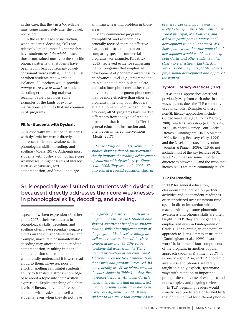in this case, that the *r* in a VR syllable must come immediately after the vowel, not before it.

In the early stages of instruction, when students' decoding skills are relatively limited, most SL approaches have students *read decodable texts*, those constrained mostly to the specific phonics patterns that students have been taught (e.g., consonant-vowelconsonant words with *a, i*, and *o*). Just as when students read words in isolation, SL teachers would provide *prompt corrective feedback* to students' decoding errors during oral text reading. Table 1 provides some examples of the kinds of explicit instructional activities that are common in SL programs.

#### **Fit for Students with Dyslexia**

SL is especially well suited to students with dyslexia because it directly addresses their core weaknesses in phonological skills, decoding, and spelling (Moats, 2017). Although most students with dyslexia do not have core weaknesses in higher levels of literacy, such as vocabulary, text comprehension, and broad language

an intrinsic learning problem in those areas.

Many commercial programs exemplify SL and research has generally focused more on effective features of instruction than on comparing specific commercial programs. For example, Kilpatrick (2015) reviewed evidence suggesting that SL programs that emphasize development of phonemic awareness to an advanced level (e.g., programs that train students to manipulate, delete, and substitute phonemes rather than only to blend and segment phonemes) may be more effective than other SL programs in helping poor decoders attain automatic word recognition. In any case, all SL programs have marked differences from the type of reading instruction that is common in Tier 1 general education instruction and, often, even in tiered interventions (Moats, 2017).

*In her readings on SL, Ms. Rowe found studies showing that SL interventions clearly improve the reading achievement of students with dyslexia (e.g., Simos et al., 2002; Torgesen et al., 2001). She also visited a special education class in* 

SL is especially well suited to students with dyslexia because it directly addresses their core weaknesses in phonological skills, decoding, and spelling.

aspects of written expression (Fletcher et al., 2007), their weaknesses in phonological skills, decoding, and spelling often have secondary negative effects on these higher-level areas. For example, inaccurate or nonautomatic decoding may affect students' reading comprehension, resulting in poor comprehension of text that students would easily understand if it were read aloud to them. Likewise, poor or effortful spelling can inhibit students' ability to translate a strong knowledge base about a topic into their written expression. Explicit teaching of higher levels of literacy may therefore benefit students with dyslexia (as well as other students) even when they do not have

*a neighboring district in which an SL program was being used. Student data showed significant benefits to students' reading skills after implementation of the program. Ms. Rowe's reading, as well as her observations of the class, convinced her that SL differed in fundamental ways from the Tier 1 literacy instruction at her own school. Moreover, even the tiered interventions that Curtis had previously received did not generally use SL activities, such as the ones shown in Table 1 or described in research studies. Although Curtis's tiered interventions had all addressed phonics to some extent, they did so in ways very different from SL. It was evident to Ms. Rowe that continued use*  *of these types of programs was not likely to benefit Curtis. She went to her school principal, Ms. Watkins, and asked to participate in professional development in an SL approach. Ms. Rowe pointed out that this professional development would enable her to help both Curtis and other students in her class more effectively. Luckily, Ms. Watkins had the funds for Ms. Rowe's professional development and approved the request.*

#### **Typical Literacy Practices (TLP)**

Just as the SL approaches described previously vary from each other in some ways, so, too, does the TLP commonly used in schools. Examples of these non-SL literacy approaches include Guided Reading (e.g., Burkins & Croft, 2010), Reader's Workshop (e.g., Calkins, 2000), Balanced Literacy, Four Blocks Literacy (Cunningham, Hall, & Sigmon, 1999), Reading Recovery (Clay, 1994), and the Leveled Literacy Intervention (Fountas & Pinnell, 2009). TLP do not include most of the key features of SL. Table 2 summarizes some important differences between SL and the ways that literacy skills are more commonly taught.

# **TLP for Reading**

In TLP for general education, classroom time focused on partner activities and independent reading is often prioritized over classroom time spent in direct interaction with a teacher. Although some phonemic awareness and phonics skills are often taught in TLP, they are not generally emphasized even in kindergarten or Grade 1. For example, in one popular approach to Tier 1 literacy instruction (Cunningham et al., 1999), "word work" is just one of four components of the program; in another popular approach (Fountas & Pinnell, 2017), it is one of eight. Also, in TLP, phonemic awareness and phonics are rarely taught in highly explicit, systematic ways with attention to important prerequisite skills, use of examples and nonexamples, and ongoing review.

In TLP, beginning readers would usually read predictable or leveled texts that do not control for different phonics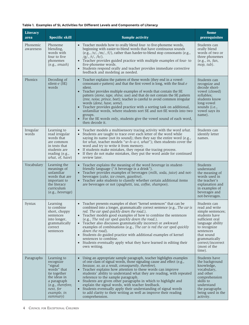# **Table 1. Examples of SL Activities for Different Levels and Components of Literacy**

| Literacy<br>area      | <b>Specific skill</b>                                                                                                                                          | <b>Sample activity</b>                                                                                                                                                                                                                                                                                                                                                                                                                                                                                                                                                                                                                                                                                        | <b>Some</b><br>prerequisites                                                                                                                                                                                           |
|-----------------------|----------------------------------------------------------------------------------------------------------------------------------------------------------------|---------------------------------------------------------------------------------------------------------------------------------------------------------------------------------------------------------------------------------------------------------------------------------------------------------------------------------------------------------------------------------------------------------------------------------------------------------------------------------------------------------------------------------------------------------------------------------------------------------------------------------------------------------------------------------------------------------------|------------------------------------------------------------------------------------------------------------------------------------------------------------------------------------------------------------------------|
| Phonemic<br>awareness | Phoneme<br>blending,<br>words with<br>four to five<br>phonemes<br>(e.g., <i>smash</i> )                                                                        | Teacher models how to orally blend four- to five-phoneme words,<br>$\bullet$<br>beginning with easier-to-blend words that have continuous sounds<br>(e.g., /s/, /m/, /f/), rather than harder-to-blend stop consonants (e.g.,<br>$/g/$ , /t/, /b/).<br>Teacher provides guided practice with multiple examples of four- to<br>$\bullet$<br>five-phoneme words.<br>• Students respond orally and teacher provides immediate corrective<br>feedback and modeling as needed.                                                                                                                                                                                                                                     | Students can<br>orally blend<br>words of two or<br>three phonemes<br>(e.g., in, fan,<br>mop, tub).                                                                                                                     |
| Phonics               | Decoding of<br>silent- $e$ (SE)<br>words                                                                                                                       | Teacher explains the pattern of these words (they end in a vowel-<br>$\bullet$<br>consonant-e pattern) and that the first vowel is long, with the final e<br>silent.<br>Teacher provides multiple examples of words that contain the SE<br>$\bullet$<br>pattern (stone, tape, shine, use) and that do not contain the SE pattern<br>(tree, noise, prince, beet); teacher is careful to avoid common irregular<br>words (done, have, some).<br>Teacher provides guided practice with a sorting task on additional,<br>unfamiliar words, where students sort SE and not-SE words into two<br>groups.<br>For the SE words only, students give the vowel sound of each word,<br>$\bullet$<br>then decode it.      | Students can<br>recognize and<br>decode short-<br>vowel (closed)<br>syllables;<br>students know<br>long-vowel<br>sounds (i.e.,<br>vowel says its<br>name).                                                             |
| Irregular<br>words    | Learning to<br>read irregular<br>words that<br>are common<br>in texts that<br>students are<br>reading (e.g.,<br>what, of, have)                                | Teacher models a multisensory tracing activity with the word what.<br>$\bullet$<br>Students are taught to trace over each letter of the word while<br>$\bullet$<br>saying its name (not its sound); then they say the entire word (e.g.,<br>for what, teacher models "w-h-a-t, what"); then students cover the<br>word and try to write it from memory.<br>If students make mistakes, they repeat the tracing process.<br>$\bullet$<br>If they do not make mistakes, they put the word aside for continued<br>$\bullet$<br>review later.                                                                                                                                                                      | Students can<br>identify letter<br>names.                                                                                                                                                                              |
| Vocabulary            | Learning the<br>meanings of<br>unfamiliar<br>words that are<br>important to<br>the literacy<br>curriculum<br>(e.g., beverage)                                  | Teacher explains the meaning of the word beverage in student-<br>friendly language ("A beverage is a drink").<br>Teacher provides examples of beverages (milk, soda, juice) and not-<br>beverages (cake, ice cream, gasoline).<br>Teacher asks students to classify whether certain additional items<br>$\bullet$<br>are beverages or not (spaghetti, tea, coffee, shampoo).                                                                                                                                                                                                                                                                                                                                  | Students<br>understand<br>the meaning of<br>words used in<br>the teacher's<br>explanation and<br>in examples of<br>beverages and<br>not-beverages.                                                                     |
| Syntax                | Learning<br>to combine<br>short, choppy<br>sentences<br>into longer,<br>grammatically<br>correct<br>sentences                                                  | Teacher presents examples of short "kernel sentences" that can be<br>combined into a longer, grammatically correct sentence (e.g., The car is<br>red. The car sped quickly down the road.).<br>Teacher models good examples of how to combine the sentences<br>(e.g., The red car sped quickly down the road.).<br>Teacher also discusses grammatically incorrect or awkward<br>$\bullet$<br>examples of combinations (e.g., The car is red the car sped quickly<br>down the road).<br>• Students do guided practice with additional examples of kernel<br>sentences to combine.<br>• Students eventually apply what they have learned in editing their<br>own writing.                                       | Students can<br>read and write<br>simple sentences;<br>students have<br>sufficient oral<br>language ability<br>to recognize<br>sentences<br>that sound<br>grammatically<br>correct/incorrect<br>(most of the<br>time). |
| Paragraphs            | Learning to<br>recognize<br>"signal<br>words" that<br>tie together<br>the ideas in<br>a paragraph<br>(e.g., therefore,<br>next, for<br>example, in<br>summary) | Using an appropriate sample paragraph, teacher highlights examples<br>$\bullet$<br>of one class of signal words, those signaling cause and effect (e.g.,<br>because, so, as a result, consequently, therefore).<br>Teacher explains how attention to these words can improve<br>$\bullet$<br>students' ability to understand what they are reading, with repeated<br>reference to the sample paragraph.<br>Students are given other paragraphs in which to highlight and<br>$\bullet$<br>explain the signal words, with teacher feedback.<br>Students eventually apply their understanding of signal words<br>$\bullet$<br>to add clarity to their writing as well as improve their reading<br>comprehension. | Students have<br>the background<br>knowledge,<br>vocabulary,<br>and other<br>comprehension<br>skills to<br>understand<br>the paragraphs<br>being used in the<br>activity.                                              |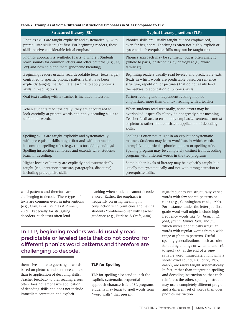#### **Table 2. Examples of Some Different Instructional Emphases in SL as Compared to TLP**

| <b>Structured literacy (SL)</b>                                                                                                             | <b>Typical literacy practices (TLP)</b>                                                                                                                                                                                                                  |
|---------------------------------------------------------------------------------------------------------------------------------------------|----------------------------------------------------------------------------------------------------------------------------------------------------------------------------------------------------------------------------------------------------------|
| Phonics skills are taught explicitly and systematically, with                                                                               | Phonics skills are usually taught but not emphasized,                                                                                                                                                                                                    |
| prerequisite skills taught first. For beginning readers, these                                                                              | even for beginners. Teaching is often not highly explicit or                                                                                                                                                                                             |
| skills receive considerable initial emphasis.                                                                                               | systematic. Prerequisite skills may not be taught first.                                                                                                                                                                                                 |
| Phonics approach is synthetic (parts to whole). Students                                                                                    | Phonics approach may be synthetic, but is often analytic                                                                                                                                                                                                 |
| learn sounds for common letters and letter patterns (e.g., sh,                                                                              | (whole to parts) or decoding by analogy (e.g., "word                                                                                                                                                                                                     |
| -ck) and how to blend them (phoneme blending).                                                                                              | families").                                                                                                                                                                                                                                              |
| Beginning readers usually read decodable texts (texts largely                                                                               | Beginning readers usually read leveled and predictable texts                                                                                                                                                                                             |
| controlled to specific phonics patterns that have been                                                                                      | (texts in which words are predictable based on sentence                                                                                                                                                                                                  |
| explicitly taught) that facilitate learning to apply phonics                                                                                | structure, repetition, or pictures) that do not easily lend                                                                                                                                                                                              |
| skills in reading texts.                                                                                                                    | themselves to application of phonics skills.                                                                                                                                                                                                             |
| Oral text reading with a teacher is included in lessons.                                                                                    | Partner reading and independent reading may be<br>emphasized more than oral text reading with a teacher.                                                                                                                                                 |
| When students read text orally, they are encouraged to<br>look carefully at printed words and apply decoding skills to<br>unfamiliar words. | When students read text orally, some errors may be<br>overlooked, especially if they do not greatly alter meaning.<br>Teacher feedback to errors may emphasize sentence context<br>or pictures rather than consistent application of decoding<br>skills. |
| Spelling skills are taught explicitly and systematically                                                                                    | Spelling is often not taught in an explicit or systematic                                                                                                                                                                                                |
| with prerequisite skills taught first and with instruction                                                                                  | manner. Students may learn word lists in which words                                                                                                                                                                                                     |
| in common spelling rules (e.g., rules for adding endings).                                                                                  | exemplify no particular phonics pattern or spelling rule.                                                                                                                                                                                                |
| Spelling instruction reinforces and extends what students                                                                                   | Spelling program may be completely distinct from decoding                                                                                                                                                                                                |
| learn in decoding.                                                                                                                          | program with different words in the two programs.                                                                                                                                                                                                        |
| Higher levels of literacy are explicitly and systematically                                                                                 | Some higher levels of literacy may be explicitly taught but                                                                                                                                                                                              |
| taught (e.g., sentence structure, paragraphs, discourse),                                                                                   | usually not systematically and not with strong attention to                                                                                                                                                                                              |
| including prerequisite skills.                                                                                                              | prerequisite skills.                                                                                                                                                                                                                                     |

word patterns and therefore are challenging to decode. These types of texts are common even in interventions (e.g., Clay, 1994; Fountas & Pinnell, 2009). Especially for struggling decoders, such texts often lend

teaching when students cannot decode a word. Rather, the emphasis is frequently on using meaning in conjunction with print cues and having students "problem-solve" with teacher guidance (e.g., Burkins & Croft, 2010).

# In TLP, beginning readers would usually read predictable or leveled texts that do not control for different phonics word patterns and therefore are challenging to decode.

themselves more to guessing at words based on pictures and sentence context than to application of decoding skills. Teacher feedback to oral reading errors often does not emphasize application of decoding skills and does not include immediate correction and explicit

# **TLP for Spelling**

TLP for spelling also tend to lack the explicit, systematic, sequential approach characteristic of SL programs. Students may learn to spell words from "word walls" that present

high-frequency but structurally varied words with few shared patterns or rules (e.g., Cunningham et al., 1999). For instance, under the letter *f*, a firstgrade word wall might include highfrequency words like *for, from, find, food, friend, family, four*, and *fly*, which mixes phonetically irregular words with regular words from a wide range of phonics patterns. Useful spelling generalizations, such as rules for adding endings or when to use *–ck* to spell /k/ (at the end of a onesyllable word, immediately following a short-vowel sound, e.g., *back, stick, block*), are rarely taught systematically. In fact, rather than integrating spelling and decoding instruction so that each reinforces the other, spelling instruction may use a completely different program and a different set of words than does phonics instruction.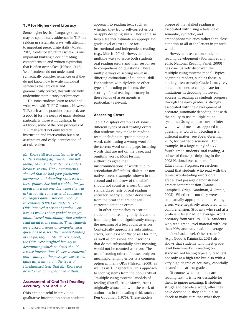#### **TLP for Higher-level Literacy**

Some higher levels of language structure may be sporadically addressed in TLP but seldom in systematic ways with attention to important prerequisite skills (Moats, 2017). Sentence structure (syntax) is one important building block of reading comprehension and written expression that is often overlooked (Nelson, 2013). Yet, if students do not understand syntactically complex sentences or if they do not know how to write individual sentences that are clear and grammatically correct, this will certainly undermine their literacy performance.

Do some students learn to read and write well with TLP? Of course. However, TLP, such as the practices described, are a poor fit for the needs of many students, particularly those with dyslexia. In addition, some of the core principles of TLP may affect not only literacy instruction and intervention but also assessment and early identification of at-risk readers.

*Ms. Rowe still was puzzled as to why Curtis's reading difficulties were not identified in kindergarten or Grade 1 because several Tier 1 assessments showed that he had poor phonemic awareness and decoding skills even in these grades. She had a sudden insight about this issue one day when she was asked to help some general education colleagues administer oral reading inventories (ORIs) to students. The ORIs involved a series of graded word lists as well as short graded passages, administered individually, that students read aloud to the teacher. Then students were asked a series of comprehension questions to assess their understanding of the passage. In Ms. Rowe's school, the ORIs were weighted heavily in determining which students should receive intervention. However, students' oral reading in the passages was scored quite differently from the types of standardized tests that Ms. Rowe was accustomed to in special education.*

# **Assessment of Oral Text Reading Accuracy in SL and TLP**

ORIs can be useful in providing qualitative information about students' approach to reading text, such as whether they try to self-correct errors or apply decoding skills. They can also help a teacher estimate an appropriate grade level of text to use for instructional and independent reading (e.g., Morris, 2014). However, there are multiple ways to score both students' oral reading errors and their responses to comprehension questions. These multiple ways of scoring result in differing estimations of students' skill. For students with dyslexia or other types of decoding problems, the scoring of oral reading accuracy in these kinds of assessments is particularly relevant.

#### **Assessing Errors**

Table 3 displays examples of some different types of oral reading errors that students may make in reading texts, including mispronouncing a word, substituting a wrong word for the correct word on the page, inserting words that are not on the page, and omitting words. Most testing authorities agree that mispronunciations of words due to articulation difficulties, dialect, or nonnative accent (examples shown in the second and third row of the table) should not count as errors. On most standardized tests of oral reading accuracy, nearly all other deviations from the print that are not selfcorrected count as errors.

In other approaches to scoring students' oral reading, only deviations from the print that significantly change the meaning of a text count as errors. Contextually appropriate substitution errors, such as *a* for *the* or *this* for *that*, as well as omissions and insertions that do not substantially alter meaning, would not be counted as errors. The use of scoring criteria focused only on meaning-changing errors is a common option in many ORIs (Nilsson, 2008) as well as in TLP generally. This approach to scoring stems from the popularity of "multiple-cuing-systems" models of reading (Farrall, 2012; Morris, 2014) originally associated with the work of authorities in the reading field, such as Ken Goodman (1976). These models

proposed that skilled reading is associated with using a balance of semantic, syntactic, and graphophonemic cues rather than close attention to all of the letters in printed words.

However, research on students' reading development (Foorman et al., 2016; National Reading Panel, 2000) has conclusively disproven the multiple-cuing-systems model. Typical beginning readers, such as those in kindergarten or early Grade 1, may rely on context cues to compensate for limitations in decoding; however, success in reading as students progress through the early grades is strongly associated with the development of accurate, automatic decoding, not with the ability to use multiple cuing systems. (Using context cues to infer what a word means as opposed to guessing at words in decoding is a different matter; see Spear-Swerling, 2015, for further discussion.) For example, in a large study of 1,779 fourth-grade students' oral reading, a subset of those participating in the 2002 National Assessment of Educational Progress, researchers found that students who read with the fewest word-reading errors on a grade-level passage demonstrated greater comprehension (Daane, Campbell, Grigg, Goodman, & Oranje, 2005). Whether or not they were contextually appropriate, oral reading errors were negatively associated with comprehension. Students who read at a proficient level had, on average, word accuracy from 98% to 100%. Students who read grade-level material with less than 90% accuracy read, on average, at a below-basic level. Other research (e.g., Good & Kaminski, 2011) also shows that students who meet gradelevel benchmarks in reading on standardized testing typically read text not only at a high rate but also with a very high degree of accuracy, especially beyond the earliest grades.

Of course, when students are reading text, it is never desirable for them to ignore meaning. If students struggle to decode a word, after they have decoded it, they should also check to make sure that what they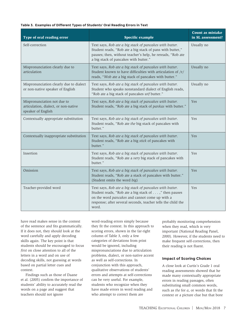#### **Table 3. Examples of Different Types of Students' Oral Reading Errors in Text**

| Type of oral reading error                                                                | <b>Specific example</b>                                                                                                                                                                                                                     | <b>Count as mistake</b><br>in SL assessment? |
|-------------------------------------------------------------------------------------------|---------------------------------------------------------------------------------------------------------------------------------------------------------------------------------------------------------------------------------------------|----------------------------------------------|
| Self-correction                                                                           | Text says, Rob ate a big stack of pancakes with butter.<br>Student reads, "Rob ate a big stack of pans with butter,"<br>pauses; then, without teacher's help, he rereads, "Rob ate<br>a big stack of pancakes with butter."                 | Usually no                                   |
| Mispronunciation clearly due to<br>articulation                                           | Text says, Rob ate a big stack of pancakes with butter.<br>Student known to have difficulties with articulation of /r/<br>reads, "Wob ate a big stack of pancakes with butter."                                                             | Usually no                                   |
| Mispronunciation clearly due to dialect<br>or non-native speaker of English               | Text says, Rob ate a big stack of pancakes with butter.<br>Student who speaks nonstandard dialect of English reads,<br>"Rob ate a big stack of pancakes wif butter."                                                                        | Usually no                                   |
| Mispronunciation not due to<br>articulation, dialect, or non-native<br>speaker of English | Text says, Rob ate a big stack of pancakes with butter.<br>Student reads, "Rob ate a big stack of pankas with butter."                                                                                                                      | Yes                                          |
| Contextually appropriate substitution                                                     | Text says, Rob ate a big stack of pancakes with butter.<br>Student reads, "Rob ate the big stack of pancakes with<br>butter."                                                                                                               | <b>Yes</b>                                   |
| Contextually inappropriate substitution                                                   | Text says, Rob ate a big stack of pancakes with butter.<br>Student reads, "Rob ate a big stick of pancakes with<br>butter."                                                                                                                 | <b>Yes</b>                                   |
| Insertion                                                                                 | Text says, Rob ate a big stack of pancakes with butter.<br>Student reads, "Rob ate a very big stack of pancakes with<br>butter."                                                                                                            | <b>Yes</b>                                   |
| Omission                                                                                  | Text says, Rob ate a big stack of pancakes with butter.<br>Student reads, "Rob ate a stack of pancakes with butter."<br>(Student omits the word big)                                                                                        | <b>Yes</b>                                   |
| Teacher-provided word                                                                     | Text says, Rob ate a big stack of pancakes with butter.<br>Student reads, "Rob ate a big stack of ," then pauses<br>on the word pancakes and cannot come up with a<br>response; after several seconds, teacher tells the child the<br>word. | <b>Yes</b>                                   |

have read makes sense in the context of the sentence and fits grammatically. If it does not, they should look at the word carefully and apply decoding skills again. The key point is that students should be encouraged to focus *first* on close attention to all of the letters in a word and on use of decoding skills, not guessing at words based on partial letter cues and context.

Findings such as those of Daane et al. (2005) confirm the importance of students' ability to accurately read the words on a page and suggest that teachers should not ignore

word-reading errors simply because they fit the context. In this approach to scoring errors, shown in the far-right column of Table 3, only a few categories of deviations from print would be ignored, including mispronunciations due to articulation problems, dialect, or non-native accent as well as self-corrections. In conjunction with this approach, qualitative observations of students' errors and attempts at self-corrections can be very useful. For example, students who recognize when they have made errors in word reading and who attempt to correct them are

probably monitoring comprehension when they read, which is very important (National Reading Panel, 2000). However, if the students need to make frequent self-corrections, then their reading is not fluent.

# **Impact of Scoring Choices**

A close look at Curtis's Grade 1 oral reading assessments showed that he made many contextually appropriate errors in reading passages, often substituting small common words, such as *the* for *a*, or words that fit the context or a picture clue but that bore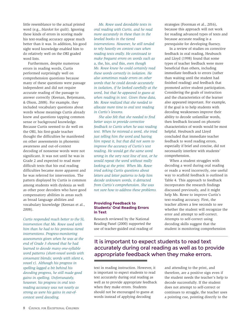little resemblance to the actual printed word (e.g., *blanket* for *quilt*). Ignoring these kinds of errors in scoring made his text-reading accuracy appear much better than it was. In addition, his good sight word knowledge enabled him to do relatively well on the ORI graded word lists.

Furthermore, despite numerous errors in reading words, Curtis performed surprisingly well on comprehension questions because many of these questions were passage independent and did not require accurate reading of the passage to answer correctly (Keenan, Betjemann, & Olson, 2008). For example, they included vocabulary questions about words whose meanings Curtis already knew and questions tapping common sense or background knowledge. Because Curtis seemed to do well on the ORI, his first-grade teacher thought the difficulties he manifested on other assessments in phonemic awareness and out-of-context decoding of nonsense words were not significant. It was not until he was in Grade 2 and expected to read more difficult texts that his oral reading difficulties became more apparent and he was referred for intervention. The pattern displayed by Curtis is common among students with dyslexia as well as other poor decoders who have good compensatory abilities in areas such as broad language abilities and vocabulary knowledge (Keenan et al., 2008).

*Curtis responded much better to the SL intervention that Ms. Rowe used with him than he had to his previous tiered interventions. Progress-monitoring assessments given when he was at the end of Grade 3 showed that he had learned to decode many one-syllable word patterns (short-vowel words with consonant blends; words with silent* e, *vowel* r*). Although his progress in spelling lagged a bit behind his decoding progress, he still made good gains in spelling. Unfortunately, however, his progress in oral textreading accuracy was not nearly as strong as were his gains in out-ofcontext word decoding.*

*Ms. Rowe used decodable texts in oral reading with Curtis, and he read more accurately in these than in the leveled books in the tiered interventions. However, he still tended to rely heavily on context cues when reading texts orally. He continued to make frequent errors on words such as* a, the, his, *and* this, *even though Ms. Rowe knew he could certainly read these words correctly in isolation. He also sometimes made errors on other words that he could decode accurately in isolation, if he looked carefully at the word, but that he appeared to guess at when reading in text. Given these data, Ms. Rowe realized that she needed to allocate more time to oral text reading in Curtis's lessons.*

*She also felt that she needed to find better ways to provide corrective feedback to Curtis when he was reading text. When he misread a word, she tried just telling him the word and having him repeat it, but that did not seem to improve the accuracy of Curtis's text reading. He would get the same word wrong in the very next line of text, or he would repeat the word without really looking at the print. When Ms. Rowe tried asking Curtis questions about letters and letter patterns to help him decode unknown words, it detracted from Curtis's comprehension. She was not sure how to address these problems.*

#### **Providing Feedback to Students' Oral Reading Errors in Text**

Research reviewed by the National Reading Panel (2000) supported the use of teacher-guided oral reading of

strategies (Foorman et al., 2016), because this approach will not work for reading advanced types of texts and because accurate reading is a prerequisite for developing fluency.

In a review of studies on corrective feedback in oral reading, Heubusch and Lloyd (1998) found that some types of teacher feedback were more beneficial than others, including immediate feedback to errors (rather than waiting until the student had finished reading) and feedback that promoted active student participation. Considering the goals of instruction and the characteristics of the learner also appeared important. For example, if the goal is to help students with decoding weaknesses improve their ability to decode unfamiliar words, then feedback focused on phonetic characteristics of words would be most helpful. Heubusch and Lloyd concluded that immediate teacher feedback to word reading errors, especially if brief and concise, did not necessarily interfere with students' comprehension.

When a student struggles with decoding a word during oral reading or reads a word incorrectly, one useful way to scaffold feedback is outlined in Table 4. This approach to feedback incorporates the research findings discussed previously, and it might help Ms. Rowe to improve Curtis's text-reading accuracy. First, the teacher allows a few seconds to see whether the student will recognize the error and attempt to self-correct. Attempts to self-correct using decoding skills suggest that the student is monitoring comprehension

# It is important to expect students to read text accurately during oral reading as well as to provide appropriate feedback when they make errors.

text in reading instruction. However, it is important to expect students to read text accurately during oral reading as well as to provide appropriate feedback when they make errors. Students should not be encouraged to guess at words instead of applying decoding

and attending to the print, and therefore, are a positive sign even if the student needs the teacher's help to decode successfully. If the student does not attempt to self-correct or continues to struggle, the teacher uses a pointing cue, pointing directly to the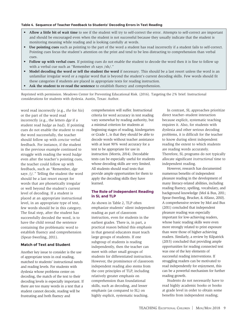#### **Table 4. Sequence of Teacher Feedback to Students' Decoding Errors in Text Reading**

- **Allow a little bit of wait time** to see if the student will try to self-correct the error. Attempts to self-correct are important and should be encouraged even when the student is not successful because they usually indicate that the student is monitoring meaning while reading and is looking carefully at words.
- **Use pointing cues** such as pointing to the part of the word a student has read incorrectly if a student fails to self-correct. Pointing cues focus the student's attention on the print and tend to be less distracting to comprehension than verbal cues.
- **Follow up with verbal cues**. If pointing cues do not enable the student to decode the word then it is fine to follow up with a verbal cue such as "Remember *sh* says /sh/."
- **Model decoding the word or tell the student the word** if necessary. This should be a last resort unless the word is an unfamiliar irregular word or a regular word that is beyond the student's current decoding skills. Few words should fit these categories if students are placed in appropriate texts for reading instruction.
- Ask the student to re-read the sentence to establish fluency and comprehension.

Reprinted with permission. Meadows Center for Preventing Educational Risk. (2016). Targeting the 2% brief: Instructional considerations for students with dyslexia. Austin, Texas: Author.

word read incorrectly (e.g., *the* for *his*) or the part of the word read incorrectly (e.g., the letters *dge* if a student read *badge* as *bad*). If pointing cues do not enable the student to read the word successfully, the teacher should follow up with *concise* verbal feedback. For instance, if the student in the previous example continued to struggle with reading the word *badge* even after the teacher's pointing cues, the teacher could follow up with feedback, such as "Remember, *dge* says /j/." Telling the student the word should be a last resort except for words that are phonetically irregular or well beyond the student's current level of decoding. If a student is placed at an appropriate instructional level, in an appropriate type of text, few words should be in this category. The final step, after the student has successfully decoded the word, is to have the child reread the sentence containing the problematic word to establish fluency and comprehension (Spear-Swerling, 2011).

#### **Match of Text and Student**

Another key issue to consider is the use of appropriate texts in oral reading, matched to students' instructional needs and reading levels. For students with dyslexia whose problems center on decoding, the match of the text to their decoding levels is especially important. If there are too many words in a text that a student cannot decode, reading will be frustrating and both fluency and

comprehension will suffer. Instructional criteria for word accuracy in text reading vary somewhat by reading authority, but a minimal criterion for students at beginning stages of reading, kindergarten or Grade 1, is that they should be able to decode words without teacher assistance with at least 90% word accuracy for a text to be appropriate for use in instruction (Morris, 2014). Decodable texts can be especially useful for students whose decoding skills are very limited. All students should read texts that provide ample opportunities for them to apply the decoding skills they have learned.

#### **The Role of Independent Reading in SL and TLP**

As shown in Table 2, TLP often emphasize students' silent independent reading as part of classroom instruction, even for students in the earliest grades. There is, in part, a practical reason behind this emphasis in that general educators must teach large groups of students. If one subgroup of students is reading independently, then the teacher can meet with other small groups of students for differentiated instruction. However, the prominence of classroom independent reading also stems from the core principles of TLP, including relatively greater emphasis on comprehension than foundational skills, such as decoding, and lesser emphasis (as compared to SL) on highly explicit, systematic teaching.

In contrast, SL approaches prioritize direct teacher–student interaction because explicit, systematic teaching requires it. Also, for students with dyslexia and other serious decoding problems, it is difficult for the teacher to know during silent independent reading the extent to which students are reading words accurately. Therefore, SL programs do not typically allocate significant *instructional* time to independent reading.

However, research has documented numerous benefits of independent pleasure reading in the development of many literacy-related abilities, including reading fluency, spelling, vocabulary, and background knowledge (Mol & Bus, 2011; Spear-Swerling, Brucker, & Alfano, 2010). A comprehensive review by Mol and Bus (2011) concluded that independent pleasure reading was especially important for low-achieving readers, whose basic reading skills were even more strongly related to print exposure than were those of higher-achieving readers. Similarly, a review by Kilpatrick (2015) concluded that providing ample opportunities for reading connected text was one of the key elements of successful reading interventions. If struggling readers can be motivated to read independently for enjoyment, this can be a powerful mechanism for further reading growth.

Students do not necessarily have to read highly academic books or books at grade level in order to obtain some benefits from independent reading;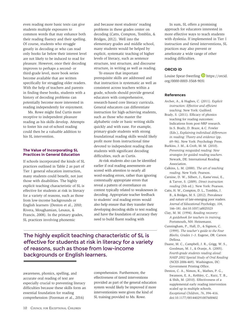even reading more basic texts can give students multiple exposures to common words that may enhance both their reading fluency and their spelling. Of course, students who struggle greatly in decoding or who can read only books far below their interest level are not likely to be induced to read for pleasure. However, once their decoding improves to perhaps a second- or third-grade level, more book series become available that are written specifically for struggling older readers. With the help of teachers and parents in finding these books, students with a history of decoding problems can potentially become more interested in reading independently for enjoyment.

Ms. Rowe might find Curtis more receptive to independent pleasure reading as his skills develop. Attempts to foster his out-of-school reading could then be a valuable addition to his SL intervention.

#### **The Value of Incorporating SL Practices in General Education**

If schools incorporated the kinds of SL practices outlined in Table 2 as part of Tier 1 general education instruction, many students could benefit, not just those with disabilities. The highly explicit teaching characteristic of SL is effective for students at risk in literacy for a variety of reasons, such as those from low-income backgrounds or English learners (Denton et al., 2010; Rivera, Moughamian, Lesaux, & Francis, 2008). In the primary grades, SL practices involving phonemic

and because most students' reading problems in these grades center on decoding (Catts, Compton, Tomblin, & Bridges, 2012). Well into the elementary grades and middle school, many students would be helped by explicit, systematic teaching of higher levels of literacy, such as sentence structure, text structure, and discourse structure, in writing as well as reading.

To ensure that important prerequisite skills are addressed and that instruction is systematic as well as consistent across teachers within a grade, schools should provide general educators with comprehensive, research-based core literacy curricula. General educators can differentiate instruction for high-achieving students, such as those who master the alphabetic code or basic writing skills quickly and with ease. For example, primary-grade students with strong foundational reading skills would likely profit more from instructional time devoted to independent reading than students with significant decoding difficulties, such as Curtis.

At-risk students also can be identified earlier if oral reading assessments are scored with attention to nearly all word-reading errors, rather than ignoring contextually appropriate errors that reveal a pattern of overreliance on context typically related to weaknesses in decoding. Appropriate teacher feedback to students' oral reading errors would also help ensure that they transfer their developing decoding skills to text reading and have the foundation of accuracy they need to build fluent reading with

The highly explicit teaching characteristic of SL is effective for students at risk in literacy for a variety of reasons, such as those from low-income backgrounds or English learners.

awareness, phonics, spelling, and accurate oral reading of text are especially crucial to preventing literacy difficulties because these skills form an essential foundation for reading comprehension (Foorman et al., 2016)

comprehension. Furthermore, the effectiveness of tiered interventions provided as part of the general education system would likely be improved if more interventionists were given the kind of SL training provided to Ms. Rowe.

In sum, SL offers a promising approach for educators interested in more effective ways to teach students with dyslexia. If implemented in Tier 1 instruction and tiered interventions, SL practices may also prevent or ameliorate a wide range of other reading difficulties.

#### **ORCID iD**

Louise Spear-Swerling **b** https://orcid. org/0000-0003-3568-9031

## **References**

- Archer, A., & Hughes, C. (2011). *Explicit instruction: Effective and efficient teaching*. New York: Guilford.
- Brady, S. (2011). Efficacy of phonics teaching for reading outcomes: Indications from post-NRP research. In S. Brady, D. Braze, & C. Fowler (Eds.), *Explaining individual differences in reading: Theory and evidence* (pp. 69–96). New York: Psychology Press.
- Burkins, J. M., & Croft, M. M. (2010). *Preventing misguided reading: New strategies for guided reading teachers*. Newark, DE: International Reading Association.
- Calkins, L. M. (2000). *The art of teaching reading*. New York: Pearson.
- Carnine, D. W., Silbert, J., Kame'enui, E., & Tarver, S. (2009). *Direct instruction reading* (5th ed.). New York: Pearson.
- Catts, H. W., Compton, D. L., Tomblin, J. B., & Bridges, M. S. (2012). Prevalence and nature of late-emerging poor readers. *Journal of Educational Psychology*, *104*, 166–181. doi:10.1037/a0025323
- Clay, M. M. (1994). *Reading recovery: A guidebook for teachers in training*. Portsmouth, NH: Heinemann.
- Cunningham, P., Hall, D., & Sigmon, C. (1999). *The teacher's guide to the Four Blocks, Grades 1–3*. Eugene, OR: Carson Dellosa.
- Daane, M. C., Campbell, J. R., Grigg, W. S., Goodman, M. J., & Oranje, A. (2005). *Fourth-grade students reading aloud: NAEP 2002 Special Study of Oral Reading* (NCES 2006-469). Washington, DC: Government Printing Office.
- Denton, C. A., Nimon, K., Mathes, P. G., Swanson, E. A., Kethley, C., Kurz, T. B., & Shih, M. (2010). Effectiveness of a supplemental early reading intervention scaled up in multiple schools. *Exceptional Children*, *76*, 394–416. doi:10.1177/001440291007600402